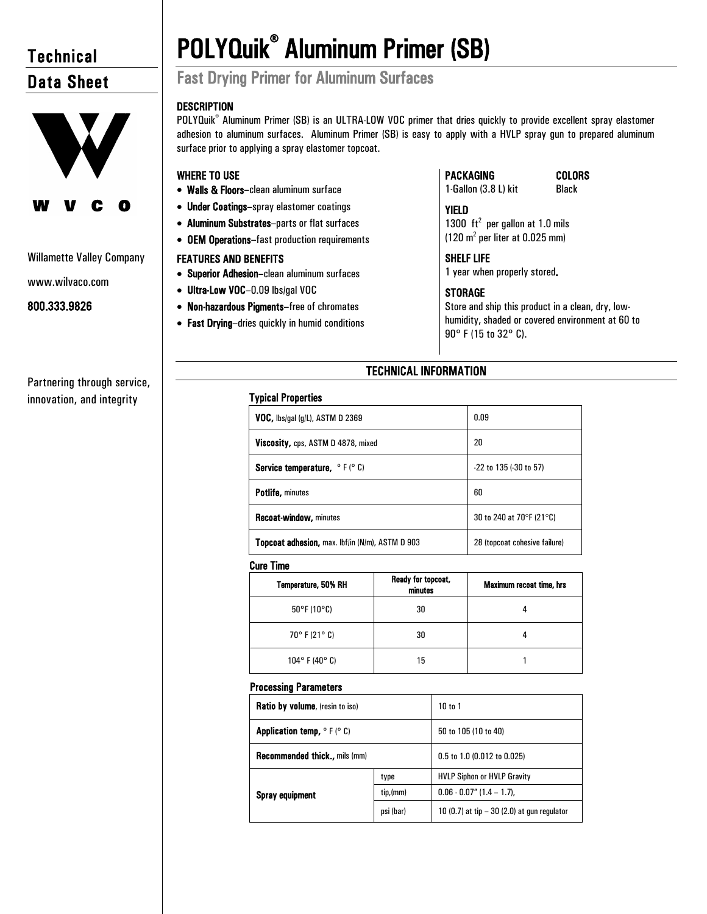# **Technical** Data Sheet



### Willamette Valley Company

www.wilvaco.com

800.333.9826

Partnering through service, innovation, and integrity

# POLYQuik® Aluminum Primer (SB) Fast Drying Primer for Aluminum Surfaces

# **DESCRIPTION**

POLYQuik<sup>®</sup> Aluminum Primer (SB) is an ULTRA-LOW VOC primer that dries quickly to provide excellent spray elastomer adhesion to aluminum surfaces. Aluminum Primer (SB) is easy to apply with a HVLP spray gun to prepared aluminum surface prior to applying a spray elastomer topcoat.

# WHERE TO USE

- Walls & Floors–clean aluminum surface
- Under Coatings–spray elastomer coatings
- Aluminum Substrates–parts or flat surfaces
- OEM Operations–fast production requirements

# FEATURES AND BENEFITS

- Superior Adhesion–clean aluminum surfaces
- Ultra-Low VOC–0.09 lbs/gal VOC
- Non-hazardous Pigments–free of chromates
- Fast Drying–dries quickly in humid conditions

# PACKAGING

1-Gallon (3.8 L) kit

#### COLORS Black

YIELD 1300  $ft^2$  per gallon at 1.0 mils  $(120 \text{ m}^2 \text{ per liter at } 0.025 \text{ mm})$ 

# SHELF LIFE

1 year when properly stored.

# **STORAGE**

Store and ship this product in a clean, dry, lowhumidity, shaded or covered environment at 60 to 90° F (15 to 32° C).

# TECHNICAL INFORMATION

| Typical Properties |
|--------------------|
|                    |

| <b>VOC, lbs/gal (g/L), ASTM D 2369</b>                 | 0.09                          |
|--------------------------------------------------------|-------------------------------|
| Viscosity, cps, ASTM D 4878, mixed                     | 20                            |
| <b>Service temperature, </b> $\circ$ F ( $\circ$ C)    | $-22$ to 135 ( $-30$ to 57)   |
| <b>Potlife, minutes</b>                                | 60                            |
| <b>Recoat-window, minutes</b>                          | 30 to 240 at 70°F (21°C)      |
| <b>Topcoat adhesion, max. Ibf/in (N/m), ASTM D 903</b> | 28 (topcoat cohesive failure) |

#### Cure Time

| Temperature, 50% RH              | Ready for topcoat,<br>minutes | <b>Maximum recoat time, hrs</b> |
|----------------------------------|-------------------------------|---------------------------------|
| $50^{\circ}$ F (10 $^{\circ}$ C) | 30                            |                                 |
| 70° F (21° C)                    | 30                            |                                 |
| $104^{\circ}$ F (40° C)          | 15                            |                                 |

#### Processing Parameters

| Ratio by volume, (resin to iso)                                      |           | 10 to 1                                      |
|----------------------------------------------------------------------|-----------|----------------------------------------------|
| <b>Application temp, <math>\circ</math> F (<math>\circ</math> C)</b> |           | 50 to 105 (10 to 40)                         |
| <b>Recommended thick., mils (mm)</b>                                 |           | 0.5 to 1.0 (0.012 to 0.025)                  |
| <b>Spray equipment</b>                                               | type      | <b>HVLP Siphon or HVLP Gravity</b>           |
|                                                                      | tip,(mm)  | $0.06 - 0.07$ " (1.4 – 1.7),                 |
|                                                                      | psi (bar) | 10 (0.7) at tip $-30$ (2.0) at gun regulator |